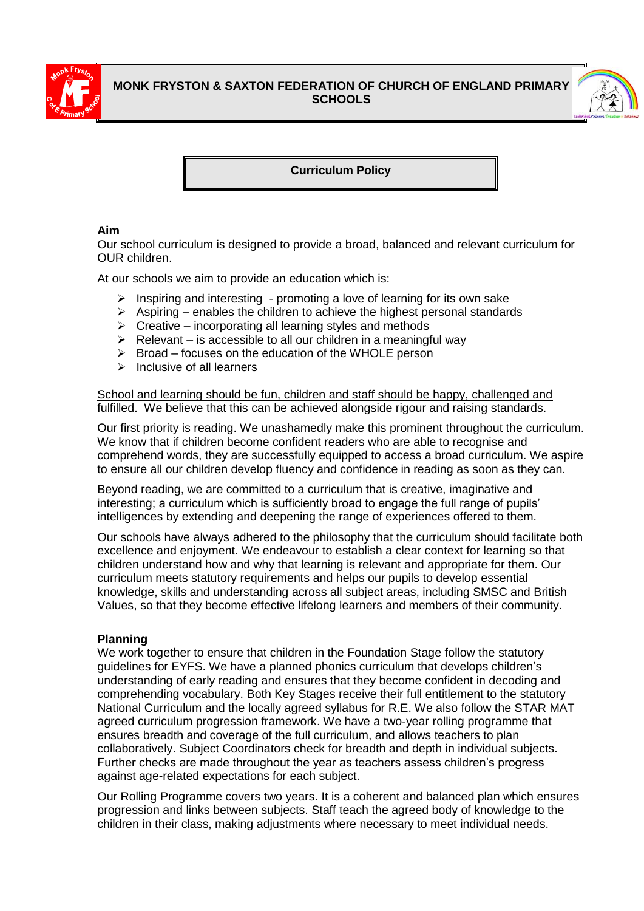

# **MONK FRYSTON & SAXTON FEDERATION OF CHURCH OF ENGLAND PRIMARY SCHOOLS**



**Curriculum Policy**

# **Aim**

Our school curriculum is designed to provide a broad, balanced and relevant curriculum for OUR children.

At our schools we aim to provide an education which is:

- ➢ Inspiring and interesting promoting a love of learning for its own sake
- $\triangleright$  Aspiring enables the children to achieve the highest personal standards
- $\triangleright$  Creative incorporating all learning styles and methods
- $\triangleright$  Relevant is accessible to all our children in a meaningful way
- ➢ Broad focuses on the education of the WHOLE person
- $\triangleright$  Inclusive of all learners

School and learning should be fun, children and staff should be happy, challenged and fulfilled. We believe that this can be achieved alongside rigour and raising standards.

Our first priority is reading. We unashamedly make this prominent throughout the curriculum. We know that if children become confident readers who are able to recognise and comprehend words, they are successfully equipped to access a broad curriculum. We aspire to ensure all our children develop fluency and confidence in reading as soon as they can.

Beyond reading, we are committed to a curriculum that is creative, imaginative and interesting; a curriculum which is sufficiently broad to engage the full range of pupils' intelligences by extending and deepening the range of experiences offered to them.

Our schools have always adhered to the philosophy that the curriculum should facilitate both excellence and enjoyment. We endeavour to establish a clear context for learning so that children understand how and why that learning is relevant and appropriate for them. Our curriculum meets statutory requirements and helps our pupils to develop essential knowledge, skills and understanding across all subject areas, including SMSC and British Values, so that they become effective lifelong learners and members of their community.

# **Planning**

We work together to ensure that children in the Foundation Stage follow the statutory guidelines for EYFS. We have a planned phonics curriculum that develops children's understanding of early reading and ensures that they become confident in decoding and comprehending vocabulary. Both Key Stages receive their full entitlement to the statutory National Curriculum and the locally agreed syllabus for R.E. We also follow the STAR MAT agreed curriculum progression framework. We have a two-year rolling programme that ensures breadth and coverage of the full curriculum, and allows teachers to plan collaboratively. Subject Coordinators check for breadth and depth in individual subjects. Further checks are made throughout the year as teachers assess children's progress against age-related expectations for each subject.

Our Rolling Programme covers two years. It is a coherent and balanced plan which ensures progression and links between subjects. Staff teach the agreed body of knowledge to the children in their class, making adjustments where necessary to meet individual needs.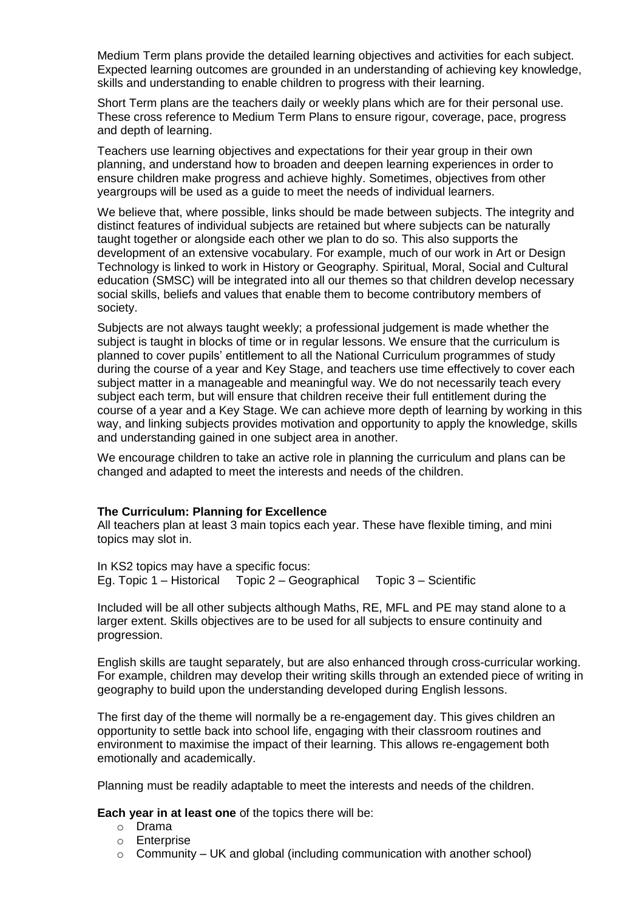Medium Term plans provide the detailed learning objectives and activities for each subject. Expected learning outcomes are grounded in an understanding of achieving key knowledge, skills and understanding to enable children to progress with their learning.

Short Term plans are the teachers daily or weekly plans which are for their personal use. These cross reference to Medium Term Plans to ensure rigour, coverage, pace, progress and depth of learning.

Teachers use learning objectives and expectations for their year group in their own planning, and understand how to broaden and deepen learning experiences in order to ensure children make progress and achieve highly. Sometimes, objectives from other yeargroups will be used as a guide to meet the needs of individual learners.

We believe that, where possible, links should be made between subjects. The integrity and distinct features of individual subjects are retained but where subjects can be naturally taught together or alongside each other we plan to do so. This also supports the development of an extensive vocabulary. For example, much of our work in Art or Design Technology is linked to work in History or Geography. Spiritual, Moral, Social and Cultural education (SMSC) will be integrated into all our themes so that children develop necessary social skills, beliefs and values that enable them to become contributory members of society.

Subjects are not always taught weekly; a professional judgement is made whether the subject is taught in blocks of time or in regular lessons. We ensure that the curriculum is planned to cover pupils' entitlement to all the National Curriculum programmes of study during the course of a year and Key Stage, and teachers use time effectively to cover each subject matter in a manageable and meaningful way. We do not necessarily teach every subject each term, but will ensure that children receive their full entitlement during the course of a year and a Key Stage. We can achieve more depth of learning by working in this way, and linking subjects provides motivation and opportunity to apply the knowledge, skills and understanding gained in one subject area in another.

We encourage children to take an active role in planning the curriculum and plans can be changed and adapted to meet the interests and needs of the children.

#### **The Curriculum: Planning for Excellence**

All teachers plan at least 3 main topics each year. These have flexible timing, and mini topics may slot in.

In KS2 topics may have a specific focus: Eg. Topic 1 – Historical Topic 2 – Geographical Topic 3 – Scientific

Included will be all other subjects although Maths, RE, MFL and PE may stand alone to a larger extent. Skills objectives are to be used for all subjects to ensure continuity and progression.

English skills are taught separately, but are also enhanced through cross-curricular working. For example, children may develop their writing skills through an extended piece of writing in geography to build upon the understanding developed during English lessons.

The first day of the theme will normally be a re-engagement day. This gives children an opportunity to settle back into school life, engaging with their classroom routines and environment to maximise the impact of their learning. This allows re-engagement both emotionally and academically.

Planning must be readily adaptable to meet the interests and needs of the children.

**Each year in at least one** of the topics there will be:

- o Drama
- o Enterprise
- $\circ$  Community UK and global (including communication with another school)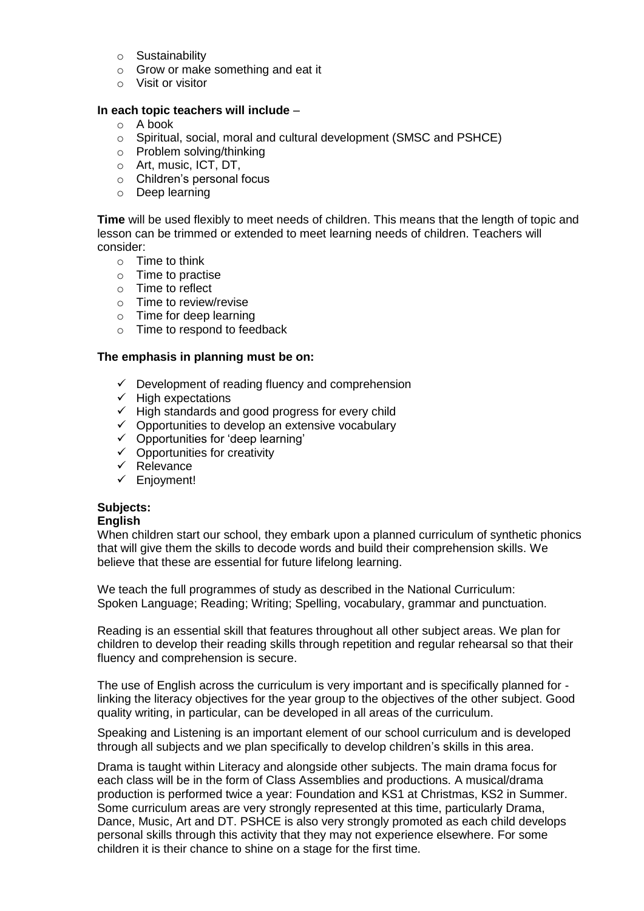- o Sustainability
- o Grow or make something and eat it
- o Visit or visitor

## **In each topic teachers will include** –

- o A book
- o Spiritual, social, moral and cultural development (SMSC and PSHCE)
- o Problem solving/thinking
- o Art, music, ICT, DT,
- o Children's personal focus
- o Deep learning

**Time** will be used flexibly to meet needs of children. This means that the length of topic and lesson can be trimmed or extended to meet learning needs of children. Teachers will consider:

- $\circ$  Time to think
- o Time to practise
- o Time to reflect
- o Time to review/revise
- o Time for deep learning
- o Time to respond to feedback

## **The emphasis in planning must be on:**

- $\checkmark$  Development of reading fluency and comprehension
- $\checkmark$  High expectations
- $\checkmark$  High standards and good progress for every child
- ✓ Opportunities to develop an extensive vocabulary
- ✓ Opportunities for 'deep learning'
- $\checkmark$  Opportunities for creativity
- ✓ Relevance
- ✓ Enjoyment!

# **Subjects:**

#### **English**

When children start our school, they embark upon a planned curriculum of synthetic phonics that will give them the skills to decode words and build their comprehension skills. We believe that these are essential for future lifelong learning.

We teach the full programmes of study as described in the National Curriculum: Spoken Language; Reading; Writing; Spelling, vocabulary, grammar and punctuation.

Reading is an essential skill that features throughout all other subject areas. We plan for children to develop their reading skills through repetition and regular rehearsal so that their fluency and comprehension is secure.

The use of English across the curriculum is very important and is specifically planned for linking the literacy objectives for the year group to the objectives of the other subject. Good quality writing, in particular, can be developed in all areas of the curriculum.

Speaking and Listening is an important element of our school curriculum and is developed through all subjects and we plan specifically to develop children's skills in this area.

Drama is taught within Literacy and alongside other subjects. The main drama focus for each class will be in the form of Class Assemblies and productions. A musical/drama production is performed twice a year: Foundation and KS1 at Christmas, KS2 in Summer. Some curriculum areas are very strongly represented at this time, particularly Drama, Dance, Music, Art and DT. PSHCE is also very strongly promoted as each child develops personal skills through this activity that they may not experience elsewhere. For some children it is their chance to shine on a stage for the first time.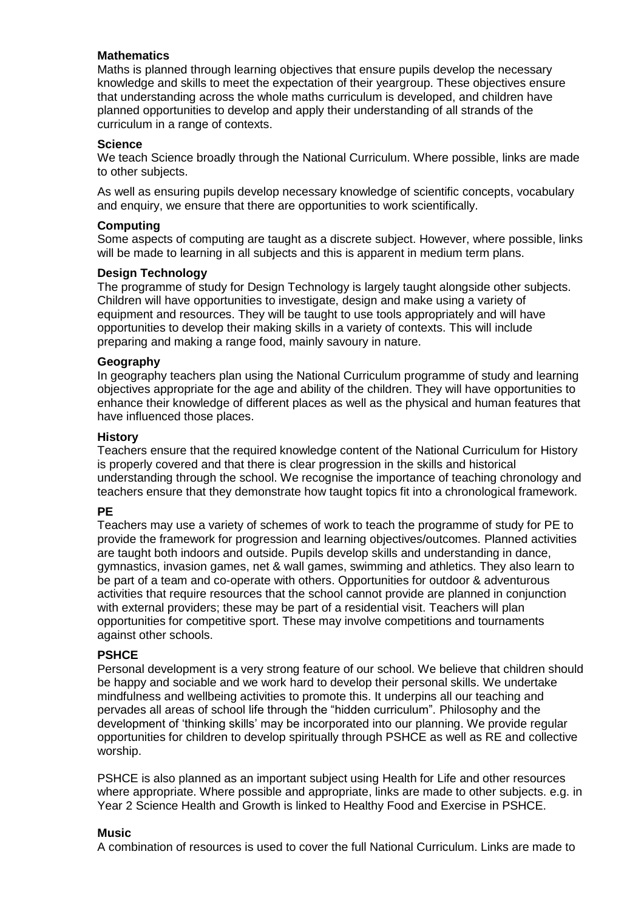## **Mathematics**

Maths is planned through learning objectives that ensure pupils develop the necessary knowledge and skills to meet the expectation of their yeargroup. These objectives ensure that understanding across the whole maths curriculum is developed, and children have planned opportunities to develop and apply their understanding of all strands of the curriculum in a range of contexts.

## **Science**

We teach Science broadly through the National Curriculum. Where possible, links are made to other subjects.

As well as ensuring pupils develop necessary knowledge of scientific concepts, vocabulary and enquiry, we ensure that there are opportunities to work scientifically.

## **Computing**

Some aspects of computing are taught as a discrete subject. However, where possible, links will be made to learning in all subjects and this is apparent in medium term plans.

## **Design Technology**

The programme of study for Design Technology is largely taught alongside other subjects. Children will have opportunities to investigate, design and make using a variety of equipment and resources. They will be taught to use tools appropriately and will have opportunities to develop their making skills in a variety of contexts. This will include preparing and making a range food, mainly savoury in nature.

## **Geography**

In geography teachers plan using the National Curriculum programme of study and learning objectives appropriate for the age and ability of the children. They will have opportunities to enhance their knowledge of different places as well as the physical and human features that have influenced those places.

#### **History**

Teachers ensure that the required knowledge content of the National Curriculum for History is properly covered and that there is clear progression in the skills and historical understanding through the school. We recognise the importance of teaching chronology and teachers ensure that they demonstrate how taught topics fit into a chronological framework.

#### **PE**

Teachers may use a variety of schemes of work to teach the programme of study for PE to provide the framework for progression and learning objectives/outcomes. Planned activities are taught both indoors and outside. Pupils develop skills and understanding in dance, gymnastics, invasion games, net & wall games, swimming and athletics. They also learn to be part of a team and co-operate with others. Opportunities for outdoor & adventurous activities that require resources that the school cannot provide are planned in conjunction with external providers; these may be part of a residential visit. Teachers will plan opportunities for competitive sport. These may involve competitions and tournaments against other schools.

#### **PSHCE**

Personal development is a very strong feature of our school. We believe that children should be happy and sociable and we work hard to develop their personal skills. We undertake mindfulness and wellbeing activities to promote this. It underpins all our teaching and pervades all areas of school life through the "hidden curriculum". Philosophy and the development of 'thinking skills' may be incorporated into our planning. We provide regular opportunities for children to develop spiritually through PSHCE as well as RE and collective worship.

PSHCE is also planned as an important subject using Health for Life and other resources where appropriate. Where possible and appropriate, links are made to other subjects. e.g. in Year 2 Science Health and Growth is linked to Healthy Food and Exercise in PSHCE.

# **Music**

A combination of resources is used to cover the full National Curriculum. Links are made to